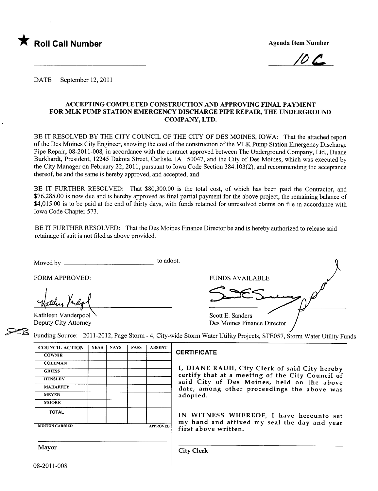

 $\sqrt{U}$  les

DATE September 12, 2011

### ACCEPTING COMPLETED CONSTRUCTION AND APPROVING FINAL PAYMENT FOR MLK PUMP STATION EMERGENCY DISCHARGE PIPE REPAIR, THE UNDERGROUND COMPANY, LTD.

BE IT RESOLVED BY THE CITY COUNCIL OF THE CITY OF DES MOINES, IOWA: That the attached report of the Des Moines City Engineer, showing the cost of the construction of the MLK Pump Station Emergency Discharge Pipe Repair, 08-2011-008, in accordance with the contract approved between The Underground Company, Ltd., Duane Burkhardt, President, 12245 Dakota Street, Carlisle, IA 50047, and the City of Des Moines, which was executed by the City Manager on February 22,2011, pursuant to Iowa Code Section 384.103(2), and recommending the acceptance thereof, be and the same is hereby approved, and accepted, and

BE IT FURTHER RESOLVED: That \$80,300.00 is the total cost, of which has been paid the Contractor, and \$76,285.00 is now due and is hereby approved as final partial payment for the above project, the remaining balance of \$4,015.00 is to be paid at the end of thirty days, with funds retained for unresolved claims on file in accordance with Iowa Code Chapter 573.

BE IT FURTHER RESOLVED: That the Des Moines Finance Director be and is hereby authorized to release said retainage if suit is not fied as above provided.

Moved by to adopt.

Kathleen Vanderpool Deputy City Attorney



Funding Source: 2011-2012, Page Storm - 4, City-wide Storm Water Utility Projects, STE057, Storm Water Utility Funds

| <b>COUNCIL ACTION</b> | <b>YEAS</b> | <b>NAYS</b> | <b>PASS</b> | <b>ABSENT</b>   |
|-----------------------|-------------|-------------|-------------|-----------------|
| <b>COWNIE</b>         |             |             |             |                 |
| <b>COLEMAN</b>        |             |             |             |                 |
| <b>GRIESS</b>         |             |             |             |                 |
| <b>HENSLEY</b>        |             |             |             |                 |
| <b>MAHAFFEY</b>       |             |             |             |                 |
| <b>MEYER</b>          |             |             |             |                 |
| <b>MOORE</b>          |             |             |             |                 |
| <b>TOTAL</b>          |             |             |             |                 |
|                       |             |             |             |                 |
| <b>MOTION CARRIED</b> |             |             |             | <b>APPROVED</b> |

### **CERTIFICATE**

I, DIANE RAUH, City Clerk of said City hereby certify that at a meeting of the City Council of said City of Des Moines, held on the above date, among other proceedings the above was adopted.

IN WITNESS WHEREOF, I have hereunto set my hand and affixed my seal the day and year first above written.

Mayor Gity Clerk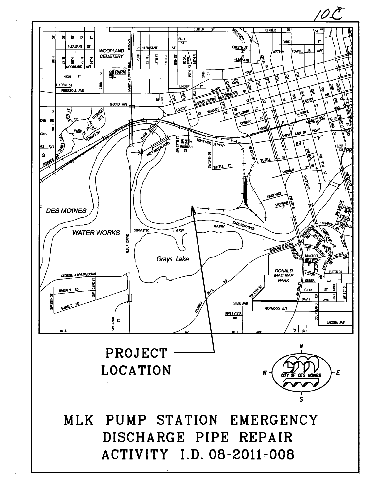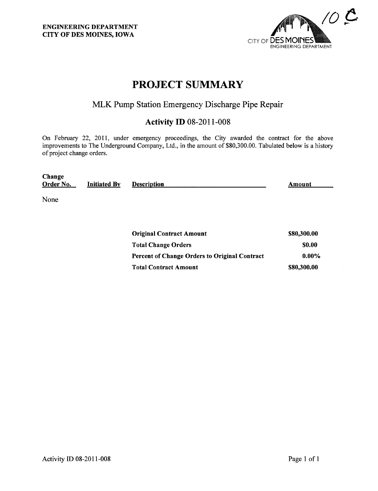ENGINEERING DEPARTMENT CITY OF DES MOINES, IOWA



# PROJECT SUMMARY

# MLK Pump Station Emergency Discharge Pipe Repair

## Activity ID 08-2011-008

On February 22, 2011, under emergency proceedings, the City awarded the contract for the above improvements to The Underground Company, Ltd., in the amount of \$80,300.00. Tabulated below is a history of project change orders.

| Change    |                     |                    |        |
|-----------|---------------------|--------------------|--------|
| Order No. | <b>Initiated By</b> | <b>Description</b> | Amount |
|           |                     |                    |        |

None

| <b>Original Contract Amount</b>               | \$80,300.00  |
|-----------------------------------------------|--------------|
| <b>Total Change Orders</b>                    | <b>SO.00</b> |
| Percent of Change Orders to Original Contract | $0.00\%$     |
| <b>Total Contract Amount</b>                  | \$80,300.00  |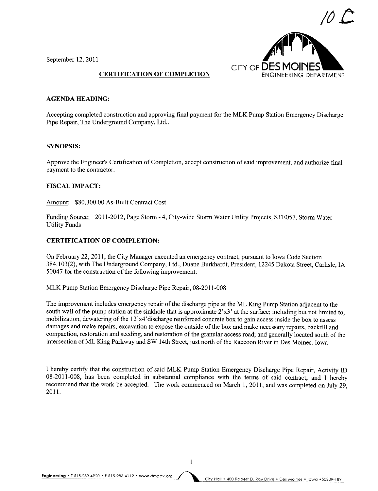

September 12,2011

### CERTIFICATION OF COMPLETION

### AGENDA HEADING:

Accepting completed construction and approving final payment for the MLK Pump Station Emergency Discharge Pipe Repair, The Underground Company, Ltd..

### SYNOPSIS:

Approve the Engineer's Certification of Completion, accept construction of said improvement, and authorize final payment to the contractor.

### FISCAL IMPACT:

Amount: \$80,300.00 As-Built Contract Cost

Funding Source: 2011-2012, Page Storm - 4, City-wide Storm Water Utility Projects, STE057, Storm Water Utility Funds

### CERTIFICATION OF COMPLETION:

On February 22,2011, the City Manager executed an emergency contract, pursuant to Iowa Code Section 384.103(2), with The Underground Company, Ltd., Duane Burkhardt, President, 12245 Dakota Street, Carlisle, IA 50047 for the construction of the following improvement:

MLK Pump Station Emergency Discharge Pipe Repair, 08-2011-008

The improvement includes emergency repair of the discharge pipe at the ML King Pump Station adjacent to the south wall of the pump station at the sinkhole that is approximate 2'x3' at the surface; including but not limited to, mobilization, dewatering of the 12'x4'discharge reinforced concrete box to gain access inside the box to assess damages and make repairs, excavation to expose the outside of the box and make necessary repairs, backfill and compaction, restoration and seeding, and restoration of the granular access road; and generally located south of the intersection of ML King Parkway and SW 14th Street, just north of the Raccoon River in Des Moines, Iowa

I hereby certify that the construction of said MLK Pump Station Emergency Discharge Pipe Repair, Activity ID 08-2011-008, has been completed in substantial compliance with the terms of said contract, and I hereby recommend that the work be accepted. The work commenced on March 1, 2011, and was completed on July 29, 2011.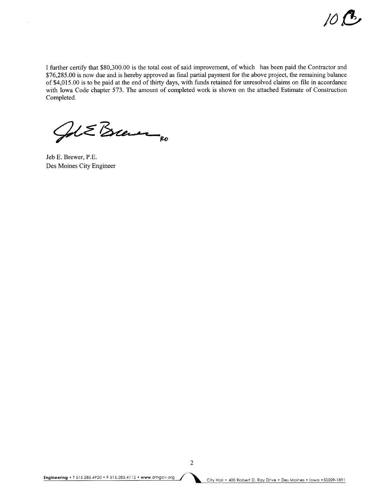I further certify that \$80,300.00 is the total cost of said improvement, of which has been paid the Contractor and \$76,285.00 is now due and is hereby approved as final partial payment for the above project, the remaining balance of \$4,015.00 is to be paid at the end of thirty days, with funds retained for unresolved claims on fie in accordance with Iowa Code chapter 573. The amount of completed work is shown on the attached Estimate of Construction Completed.

Job E Brever

Jeb E. Brewer, P,E. Des Moines City Engineer

 $\bar{z}$